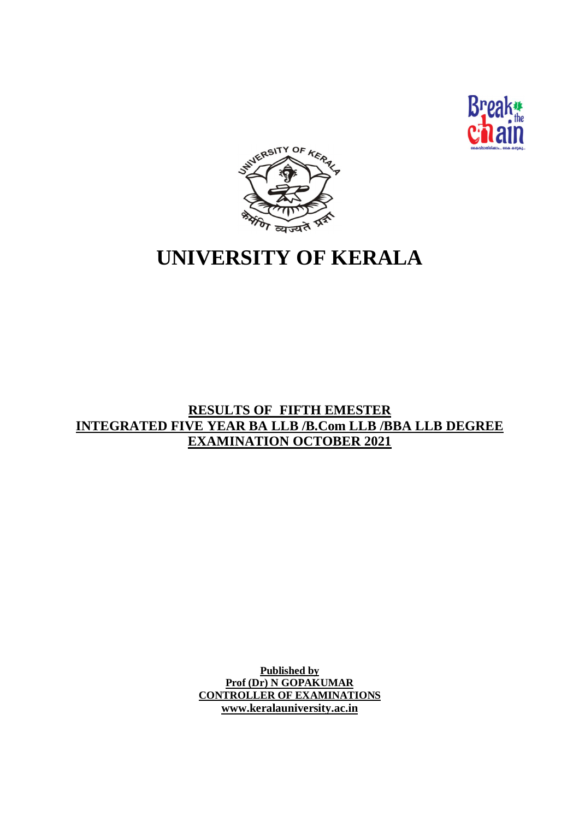



# **UNIVERSITY OF KERALA**

# **RESULTS OF FIFTH EMESTER INTEGRATED FIVE YEAR BA LLB /B.Com LLB /BBA LLB DEGREE EXAMINATION OCTOBER 2021**

**Published by Prof (Dr) N GOPAKUMAR CONTROLLER OF EXAMINATIONS www.keralauniversity.ac.in**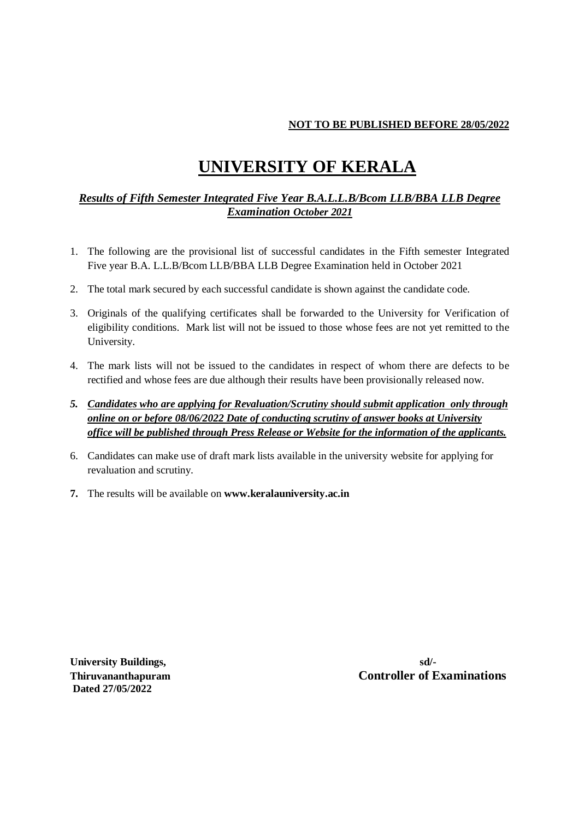#### **NOT TO BE PUBLISHED BEFORE 28/05/2022**

# **UNIVERSITY OF KERALA**

### *Results of Fifth Semester Integrated Five Year B.A.L.L.B/Bcom LLB/BBA LLB Degree Examination October 2021*

- 1. The following are the provisional list of successful candidates in the Fifth semester Integrated Five year B.A. L.L.B/Bcom LLB/BBA LLB Degree Examination held in October 2021
- 2. The total mark secured by each successful candidate is shown against the candidate code.
- 3. Originals of the qualifying certificates shall be forwarded to the University for Verification of eligibility conditions. Mark list will not be issued to those whose fees are not yet remitted to the University.
- 4. The mark lists will not be issued to the candidates in respect of whom there are defects to be rectified and whose fees are due although their results have been provisionally released now.
- *5. Candidates who are applying for Revaluation/Scrutiny should submit application only through online on or before 08/06/2022 Date of conducting scrutiny of answer books at University office will be published through Press Release or Website for the information of the applicants.*
- 6. Candidates can make use of draft mark lists available in the university website for applying for revaluation and scrutiny.
- **7.** The results will be available on **www.keralauniversity.ac.in**

**University Buildings, sd/- Dated 27/05/2022**

**Thiruvananthapuram Controller of Examinations**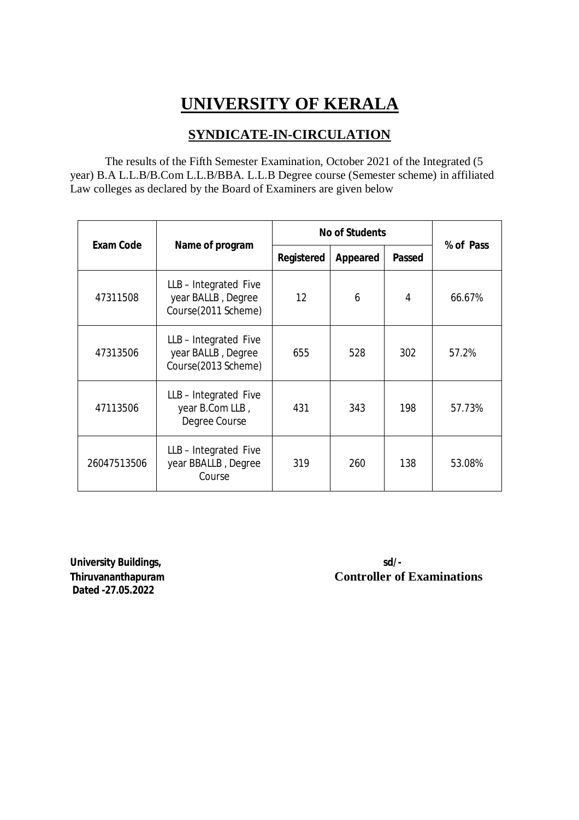# **UNIVERSITY OF KERALA**

# **SYNDICATE-IN-CIRCULATION**

The results of the Fifth Semester Examination, October 2021 of the Integrated (5 year) B.A L.L.B/B.Com L.L.B/BBA. L.L.B Degree course (Semester scheme) in affiliated Law colleges as declared by the Board of Examiners are given below

| <b>Exam Code</b> |                                                                  |                   | <b>No of Students</b> |               |           |  |
|------------------|------------------------------------------------------------------|-------------------|-----------------------|---------------|-----------|--|
|                  | Name of program                                                  | Registered        | Appeared              | <b>Passed</b> | % of Pass |  |
| 47311508         | LLB-Integrated Five<br>year BALLB, Degree<br>Course(2011 Scheme) | $12 \overline{ }$ | 6                     | 4             | 66.67%    |  |
| 47313506         | LLB-Integrated Five<br>year BALLB, Degree<br>Course(2013 Scheme) | 655               | 528                   | 302           | 57.2%     |  |
| 47113506         | LLB-Integrated Five<br>year B.Com LLB,<br>Degree Course          | 431               | 343                   | 198           | 57.73%    |  |
| 26047513506      | LLB-Integrated Five<br>year BBALLB, Degree<br>Course             | 319               | 260                   | 138           | 53.08%    |  |

**University Buildings, sd/- Dated -27.05.2022**

**Thiruvananthapuram Controller of Examinations**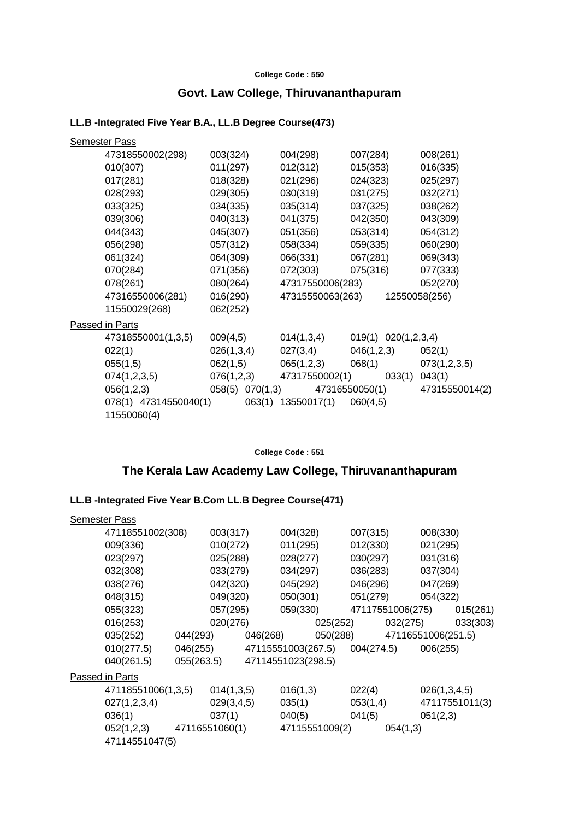#### **College Code : 550**

# **Govt. Law College, Thiruvananthapuram**

#### **LL.B -Integrated Five Year B.A., LL.B Degree Course(473)**

| <b>Semester Pass</b>                 |                 |                    |                                |                |
|--------------------------------------|-----------------|--------------------|--------------------------------|----------------|
| 47318550002(298)                     | 003(324)        | 004(298)           | 007(284)                       | 008(261)       |
| 010(307)                             | 011(297)        | 012(312)           | 015(353)                       | 016(335)       |
| 017(281)                             | 018(328)        | 021(296)           | 024(323)                       | 025(297)       |
| 028(293)                             | 029(305)        | 030(319)           | 031(275)                       | 032(271)       |
| 033(325)                             | 034(335)        | 035(314)           | 037(325)                       | 038(262)       |
| 039(306)                             | 040(313)        | 041(375)           | 042(350)                       | 043(309)       |
| 044(343)                             | 045(307)        | 051(356)           | 053(314)                       | 054(312)       |
| 056(298)                             | 057(312)        | 058(334)           | 059(335)                       | 060(290)       |
| 061(324)                             | 064(309)        | 066(331)           | 067(281)                       | 069(343)       |
| 070(284)                             | 071(356)        | 072(303)           | 075(316)                       | 077(333)       |
| 078(261)                             | 080(264)        | 47317550006(283)   |                                | 052(270)       |
| 47316550006(281)                     | 016(290)        |                    | 47315550063(263) 12550058(256) |                |
| 11550029(268)                        | 062(252)        |                    |                                |                |
| Passed in Parts                      |                 |                    |                                |                |
| 47318550001(1,3,5)                   | 009(4,5)        | 014(1,3,4)         | 019(1) 020(1,2,3,4)            |                |
| 022(1)                               | 026(1,3,4)      | 027(3,4)           | 046(1,2,3)                     | 052(1)         |
| 055(1,5)                             | 062(1,5)        | 065(1,2,3)         | 068(1)                         | 073(1,2,3,5)   |
| 074(1,2,3,5)                         | 076(1,2,3)      | 47317550002(1)     | 033(1)                         | 043(1)         |
| 056(1,2,3)                           | 058(5) 070(1,3) |                    | 47316550050(1)                 | 47315550014(2) |
| 078(1) 47314550040(1)<br>11550060(4) |                 | 063(1) 13550017(1) | 060(4,5)                       |                |

**College Code : 551**

# **The Kerala Law Academy Law College, Thiruvananthapuram**

# **LL.B -Integrated Five Year B.Com LL.B Degree Course(471)**

| <b>Semester Pass</b>        |            |                               |          |                                        |          |                             |              |                   |
|-----------------------------|------------|-------------------------------|----------|----------------------------------------|----------|-----------------------------|--------------|-------------------|
| 47118551002(308)            | 003(317)   |                               | 004(328) |                                        | 007(315) |                             | 008(330)     |                   |
| 009(336)                    | 010(272)   |                               | 011(295) |                                        | 012(330) |                             | 021(295)     |                   |
| 023(297)                    | 025(288)   |                               | 028(277) |                                        | 030(297) |                             | 031(316)     |                   |
| 032(308)                    | 033(279)   |                               | 034(297) |                                        | 036(283) |                             | 037(304)     |                   |
| 038(276)                    | 042(320)   |                               | 045(292) |                                        | 046(296) |                             | 047(269)     |                   |
| 048(315)                    | 049(320)   |                               | 050(301) |                                        | 051(279) |                             | 054(322)     |                   |
| 055(323)                    | 057(295)   |                               | 059(330) |                                        |          | 47117551006(275)            |              | 015(261)          |
| 016(253)                    | 020(276)   |                               |          | 025(252)                               |          |                             |              | 032(275) 033(303) |
| 035(252)                    |            | 044(293) 046(268)             |          |                                        |          | 050(288) 47116551006(251.5) |              |                   |
| 010(277.5)                  |            |                               |          | 046(255) 47115551003(267.5) 004(274.5) |          |                             | 006(255)     |                   |
| 040(261.5)                  |            | 055(263.5) 47114551023(298.5) |          |                                        |          |                             |              |                   |
| Passed in Parts             |            |                               |          |                                        |          |                             |              |                   |
| 47118551006(1,3,5)          | 014(1,3,5) |                               | 016(1,3) |                                        | 022(4)   |                             | 026(1,3,4,5) |                   |
| 027(1,2,3,4)                | 029(3,4,5) |                               | 035(1)   |                                        | 053(1,4) |                             |              | 47117551011(3)    |
| 036(1)                      | 037(1)     |                               | 040(5)   |                                        | 041(5)   |                             | 051(2,3)     |                   |
| $052(1,2,3)$ 47116551060(1) |            |                               |          | 47115551009(2)                         |          | 054(1,3)                    |              |                   |
| 47114551047(5)              |            |                               |          |                                        |          |                             |              |                   |
|                             |            |                               |          |                                        |          |                             |              |                   |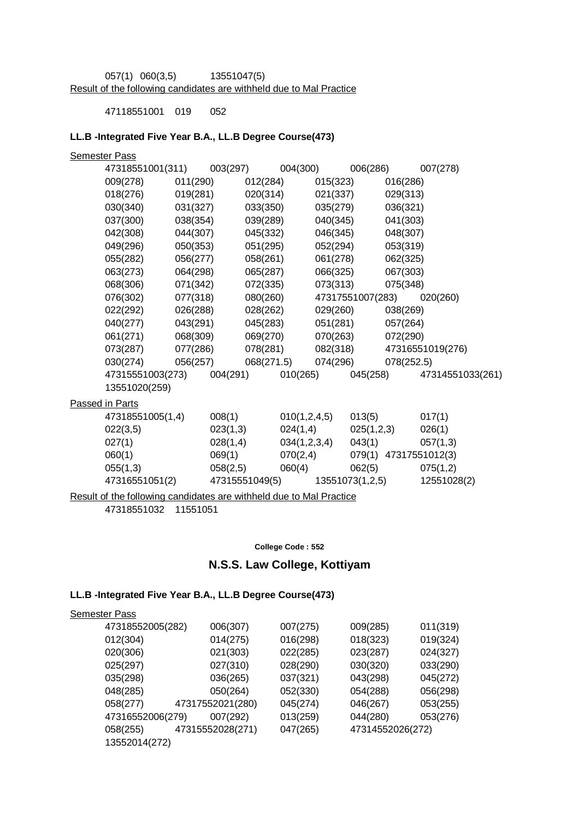057(1) 060(3,5) 13551047(5) Result of the following candidates are withheld due to Mal Practice

47118551001 019 052

#### **LL.B -Integrated Five Year B.A., LL.B Degree Course(473)**

| <b>Semester Pass</b>                                                |                |            |                 |          |                  |            |                       |
|---------------------------------------------------------------------|----------------|------------|-----------------|----------|------------------|------------|-----------------------|
| 47318551001(311)                                                    | 003(297)       |            | 004(300)        |          | 006(286)         |            | 007(278)              |
| 009(278)                                                            | 011(290)       | 012(284)   |                 | 015(323) |                  | 016(286)   |                       |
| 018(276)                                                            | 019(281)       | 020(314)   |                 | 021(337) |                  | 029(313)   |                       |
| 030(340)                                                            | 031(327)       | 033(350)   |                 | 035(279) |                  | 036(321)   |                       |
| 037(300)                                                            | 038(354)       | 039(289)   |                 | 040(345) |                  | 041(303)   |                       |
| 042(308)                                                            | 044(307)       | 045(332)   |                 | 046(345) |                  | 048(307)   |                       |
| 049(296)                                                            | 050(353)       | 051(295)   |                 | 052(294) |                  | 053(319)   |                       |
| 055(282)                                                            | 056(277)       | 058(261)   |                 | 061(278) |                  | 062(325)   |                       |
| 063(273)                                                            | 064(298)       | 065(287)   |                 | 066(325) |                  | 067(303)   |                       |
| 068(306)                                                            | 071(342)       | 072(335)   |                 | 073(313) |                  | 075(348)   |                       |
| 076(302)                                                            | 077(318)       | 080(260)   |                 |          | 47317551007(283) |            | 020(260)              |
| 022(292)                                                            | 026(288)       | 028(262)   |                 | 029(260) |                  | 038(269)   |                       |
| 040(277)                                                            | 043(291)       | 045(283)   |                 | 051(281) |                  | 057(264)   |                       |
| 061(271)                                                            | 068(309)       | 069(270)   |                 | 070(263) |                  | 072(290)   |                       |
| 073(287)                                                            | 077(286)       | 078(281)   |                 |          | 082(318)         |            | 47316551019(276)      |
| 030(274)                                                            | 056(257)       | 068(271.5) |                 | 074(296) |                  | 078(252.5) |                       |
| 47315551003(273) 004(291)                                           |                |            | 010(265)        |          | 045(258)         |            | 47314551033(261)      |
| 13551020(259)                                                       |                |            |                 |          |                  |            |                       |
| Passed in Parts                                                     |                |            |                 |          |                  |            |                       |
| 47318551005(1,4)                                                    | 008(1)         |            | 010(1, 2, 4, 5) |          | 013(5)           |            | 017(1)                |
| 022(3,5)                                                            | 023(1,3)       |            | 024(1,4)        |          | 025(1,2,3)       |            | 026(1)                |
| 027(1)                                                              | 028(1,4)       |            | 034(1,2,3,4)    |          | 043(1)           |            | 057(1,3)              |
| 060(1)                                                              | 069(1)         |            | 070(2,4)        |          |                  |            | 079(1) 47317551012(3) |
| 055(1,3)                                                            | 058(2,5)       |            | 060(4)          |          | 062(5)           |            | 075(1,2)              |
| 47316551051(2)                                                      | 47315551049(5) |            |                 |          | 13551073(1,2,5)  |            | 12551028(2)           |
| Result of the following candidates are withheld due to Mal Practice |                |            |                 |          |                  |            |                       |

47318551032 11551051

**College Code : 552**

# **N.S.S. Law College, Kottiyam**

#### **LL.B -Integrated Five Year B.A., LL.B Degree Course(473)**

| 47318552005(282)<br>006(307) | 007(275) | 009(285)         | 011(319) |
|------------------------------|----------|------------------|----------|
| 014(275)                     | 016(298) | 018(323)         | 019(324) |
| 021(303)                     | 022(285) | 023(287)         | 024(327) |
| 027(310)                     | 028(290) | 030(320)         | 033(290) |
| 036(265)                     | 037(321) | 043(298)         | 045(272) |
| 050(264)                     | 052(330) | 054(288)         | 056(298) |
| 47317552021(280)             | 045(274) | 046(267)         | 053(255) |
| 007(292)<br>47316552006(279) | 013(259) | 044(280)         | 053(276) |
| 47315552028(271)             | 047(265) | 47314552026(272) |          |
|                              |          |                  |          |
|                              |          |                  |          |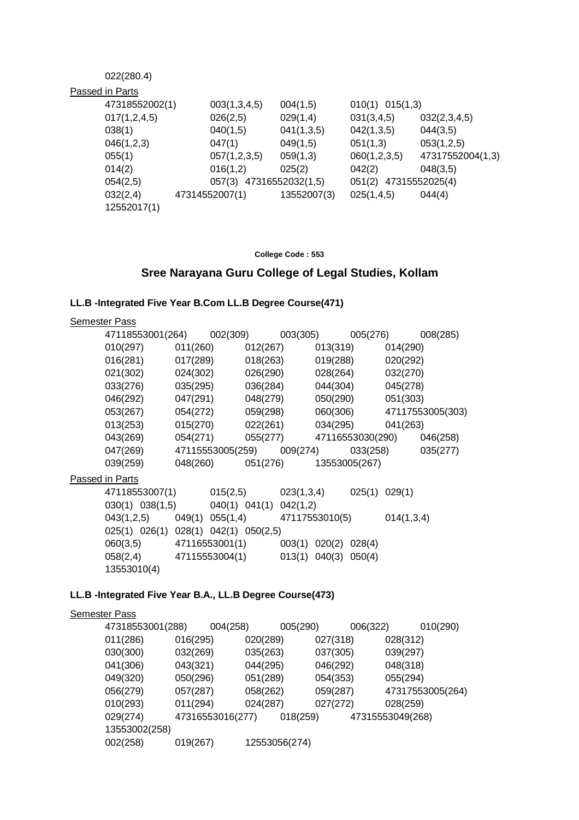### 022(280.4)

| Passed in Parts         |                         |             |                       |                  |
|-------------------------|-------------------------|-------------|-----------------------|------------------|
| 47318552002(1)          | 003(1,3,4,5)            | 004(1,5)    | $010(1)$ $015(1,3)$   |                  |
| 017(1,2,4,5)            | 026(2,5)                | 029(1,4)    | 031(3,4,5)            | 032(2,3,4,5)     |
| 038(1)                  | 040(1,5)                | 041(1,3,5)  | 042(1,3,5)            | 044(3,5)         |
| 046(1,2,3)              | 047(1)                  | 049(1,5)    | 051(1,3)              | 053(1,2,5)       |
| 055(1)                  | 057(1,2,3,5)            | 059(1,3)    | 060(1,2,3,5)          | 47317552004(1,3) |
| 014(2)                  | 016(1,2)                | 025(2)      | 042(2)                | 048(3,5)         |
| 054(2,5)                | 057(3) 47316552032(1,5) |             | 051(2) 47315552025(4) |                  |
| 032(2,4)<br>12552017(1) | 47314552007(1)          | 13552007(3) | 025(1,4,5)            | 044(4)           |
|                         |                         |             |                       |                  |

**College Code : 553**

# **Sree Narayana Guru College of Legal Studies, Kollam**

#### **LL.B -Integrated Five Year B.Com LL.B Degree Course(471)**

| Semester Pass                                                  |  |  |  |  |
|----------------------------------------------------------------|--|--|--|--|
| 47118553001(264) 002(309) 003(305) 005(276) 008(285)           |  |  |  |  |
| $010(297)$ $011(260)$ $012(267)$ $013(319)$ $014(290)$         |  |  |  |  |
| $016(281)$ $017(289)$ $018(263)$ $019(288)$ $020(292)$         |  |  |  |  |
| 021(302) 024(302) 026(290) 028(264) 032(270)                   |  |  |  |  |
| 033(276) 035(295) 036(284) 044(304) 045(278)                   |  |  |  |  |
| 046(292) 047(291) 048(279) 050(290) 051(303)                   |  |  |  |  |
| 053(267) 054(272) 059(298) 060(306) 47117553005(303)           |  |  |  |  |
| $013(253)$ $015(270)$ $022(261)$ $034(295)$ $041(263)$         |  |  |  |  |
| 043(269) 054(271) 055(277) 47116553030(290) 046(258)           |  |  |  |  |
| 047(269) 47115553005(259) 009(274) 033(258) 035(277)           |  |  |  |  |
| 039(259) 048(260) 051(276) 13553005(267)                       |  |  |  |  |
| Passed in Parts                                                |  |  |  |  |
| 47118553007(1) 015(2,5) 023(1,3,4) 025(1) 029(1)               |  |  |  |  |
| $030(1)$ $038(1,5)$ $040(1)$ $041(1)$ $042(1,2)$               |  |  |  |  |
| $043(1,2,5)$ $049(1)$ $055(1,4)$ $47117553010(5)$ $014(1,3,4)$ |  |  |  |  |
| 025(1) 026(1) 028(1) 042(1) 050(2,5)                           |  |  |  |  |
| 060(3,5) 47116553001(1) 003(1) 020(2) 028(4)                   |  |  |  |  |
| 058(2,4) 47115553004(1) 013(1) 040(3) 050(4)                   |  |  |  |  |
| 13553010(4)                                                    |  |  |  |  |
|                                                                |  |  |  |  |

## **LL.B -Integrated Five Year B.A., LL.B Degree Course(473)**

| <b>Semester Pass</b> |                  |               |          |                  |                  |
|----------------------|------------------|---------------|----------|------------------|------------------|
| 47318553001(288)     | 004(258)         |               | 005(290) | 006(322)         | 010(290)         |
| 011(286)             | 016(295)         | 020(289)      | 027(318) | 028(312)         |                  |
| 030(300)             | 032(269)         | 035(263)      | 037(305) | 039(297)         |                  |
| 041(306)             | 043(321)         | 044(295)      | 046(292) | 048(318)         |                  |
| 049(320)             | 050(296)         | 051(289)      | 054(353) | 055(294)         |                  |
| 056(279)             | 057(287)         | 058(262)      | 059(287) |                  | 47317553005(264) |
| 010(293)             | 011(294)         | 024(287)      | 027(272) | 028(259)         |                  |
| 029(274)             | 47316553016(277) |               | 018(259) | 47315553049(268) |                  |
| 13553002(258)        |                  |               |          |                  |                  |
| 002(258)             | 019(267)         | 12553056(274) |          |                  |                  |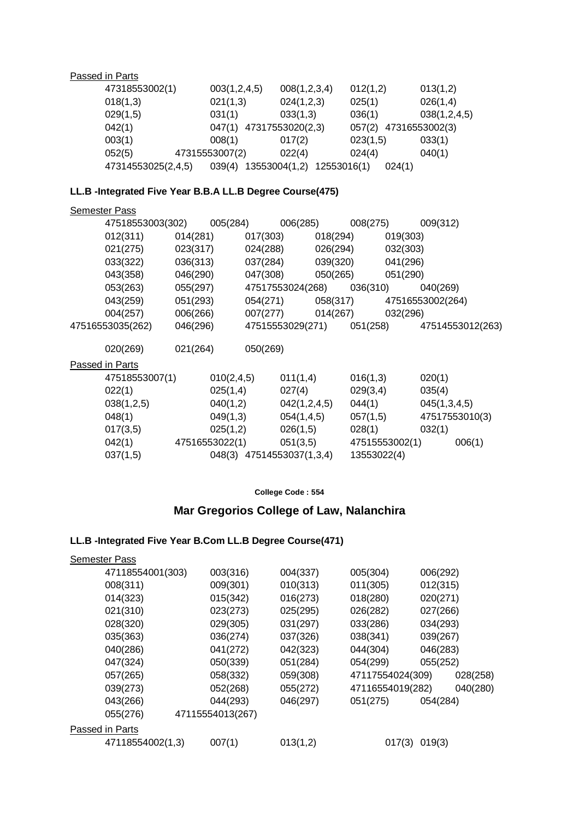Passed in Parts

| 47318553002(1)     | 003(1,2,4,5)            | 008(1,2,3,4)                 | 012(1,2) | 013(1,2)       |
|--------------------|-------------------------|------------------------------|----------|----------------|
| 018(1,3)           | 021(1,3)                | 024(1,2,3)                   | 025(1)   | 026(1,4)       |
| 029(1,5)           | 031(1)                  | 033(1,3)                     | 036(1)   | 038(1,2,4,5)   |
| 042(1)             | 047(1) 47317553020(2,3) |                              | 057(2)   | 47316553002(3) |
| 003(1)             | 008(1)                  | 017(2)                       | 023(1,5) | 033(1)         |
| 052(5)             | 47315553007(2)          | 022(4)                       | 024(4)   | 040(1)         |
| 47314553025(2,4,5) | 039(4)                  | 13553004(1,2)<br>12553016(1) | 024(1)   |                |

## **LL.B -Integrated Five Year B.B.A LL.B Degree Course(475)**

| <b>Semester Pass</b>                                 |          |              |                                    |              |             |                |                                            |
|------------------------------------------------------|----------|--------------|------------------------------------|--------------|-------------|----------------|--------------------------------------------|
| 47518553003(302) 005(284) 006(285) 008(275) 009(312) |          |              |                                    |              |             |                |                                            |
| 012(311) 014(281)                                    |          |              | $017(303)$ $018(294)$ $019(303)$   |              |             |                |                                            |
| 021(275) 023(317)                                    |          |              | 024(288) 026(294) 032(303)         |              |             |                |                                            |
| 033(322)                                             | 036(313) |              | 037(284) 039(320) 041(296)         |              |             |                |                                            |
| 043(358)                                             | 046(290) |              | 047(308) 050(265) 051(290)         |              |             |                |                                            |
| 053(263)                                             | 055(297) |              | 47517553024(268) 036(310) 040(269) |              |             |                |                                            |
| 043(259)                                             | 051(293) |              |                                    |              |             |                | 054(271) 058(317) 47516553002(264)         |
| 004(257)                                             | 006(266) |              | 007(277) 014(267) 032(296)         |              |             |                |                                            |
| 47516553035(262)                                     | 046(296) |              |                                    |              |             |                | 47515553029(271) 051(258) 47514553012(263) |
|                                                      |          |              |                                    |              |             |                |                                            |
| 020(269) 021(264)                                    |          |              | 050(269)                           |              |             |                |                                            |
| <b>Passed in Parts</b>                               |          |              |                                    |              |             |                |                                            |
| 47518553007(1)                                       |          | 010(2, 4, 5) |                                    | 011(1,4)     | 016(1,3)    |                | 020(1)                                     |
| 022(1)                                               |          | 025(1,4)     |                                    | 027(4)       | 029(3,4)    |                | 035(4)                                     |
| 038(1,2,5)                                           |          | 040(1,2)     |                                    | 042(1,2,4,5) | 044(1)      |                | 045(1,3,4,5)                               |
| 048(1)                                               |          | 049(1,3)     |                                    | 054(1,4,5)   |             | 057(1,5)       | 47517553010(3)                             |
| 017(3,5)                                             |          | 025(1,2)     |                                    | 026(1,5)     | 028(1)      |                | 032(1)                                     |
| $042(1)$ 47516553022(1) 051(3,5)                     |          |              |                                    |              |             | 47515553002(1) | 006(1)                                     |
| 037(1,5)                                             |          |              | 048(3) 47514553037(1,3,4)          |              | 13553022(4) |                |                                            |

**College Code : 554**

# **Mar Gregorios College of Law, Nalanchira**

# **LL.B -Integrated Five Year B.Com LL.B Degree Course(471)**

| <b>Semester Pass</b> |                  |          |                  |          |          |
|----------------------|------------------|----------|------------------|----------|----------|
| 47118554001(303)     | 003(316)         | 004(337) | 005(304)         | 006(292) |          |
| 008(311)             | 009(301)         | 010(313) | 011(305)         | 012(315) |          |
| 014(323)             | 015(342)         | 016(273) | 018(280)         | 020(271) |          |
| 021(310)             | 023(273)         | 025(295) | 026(282)         | 027(266) |          |
| 028(320)             | 029(305)         | 031(297) | 033(286)         | 034(293) |          |
| 035(363)             | 036(274)         | 037(326) | 038(341)         | 039(267) |          |
| 040(286)             | 041(272)         | 042(323) | 044(304)         | 046(283) |          |
| 047(324)             | 050(339)         | 051(284) | 054(299)         | 055(252) |          |
| 057(265)             | 058(332)         | 059(308) | 47117554024(309) |          | 028(258) |
| 039(273)             | 052(268)         | 055(272) | 47116554019(282) |          | 040(280) |
| 043(266)             | 044(293)         | 046(297) | 051(275)         | 054(284) |          |
| 055(276)             | 47115554013(267) |          |                  |          |          |
| Passed in Parts      |                  |          |                  |          |          |
| 47118554002(1,3)     | 007(1)           | 013(1,2) | 017(3)           | 019(3)   |          |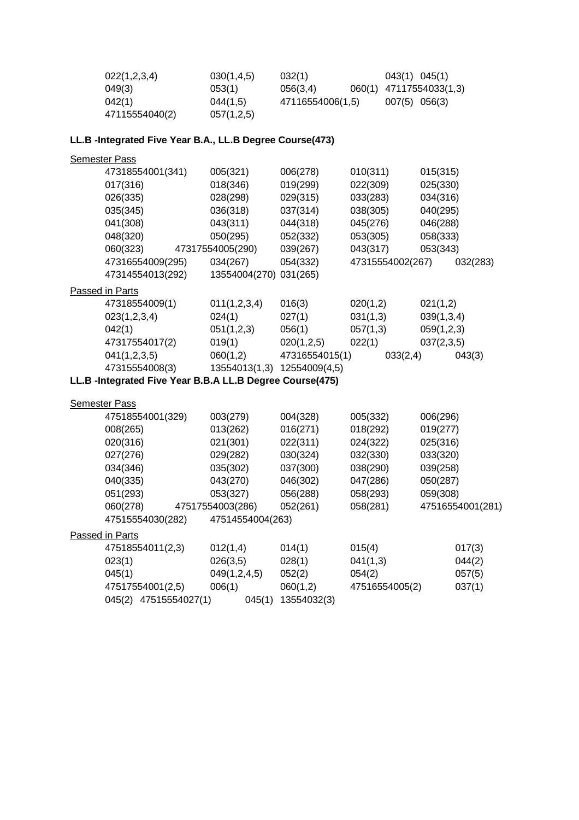| 022(1,2,3,4)   | 030(1, 4.5) | 032(1)           | $043(1)$ $045(1)$       |
|----------------|-------------|------------------|-------------------------|
| 049(3)         | 053(1)      | 056(3.4)         | 060(1) 47117554033(1,3) |
| 042(1)         | 044(1,5)    | 47116554006(1,5) | $007(5)$ 056(3)         |
| 47115554040(2) | 057(1,2,5)  |                  |                         |

# **LL.B -Integrated Five Year B.A., LL.B Degree Course(473)**

| <b>Semester Pass</b>                                     |                  |                |                  |            |                  |
|----------------------------------------------------------|------------------|----------------|------------------|------------|------------------|
| 47318554001(341)                                         | 005(321)         | 006(278)       | 010(311)         | 015(315)   |                  |
| 017(316)                                                 | 018(346)         | 019(299)       | 022(309)         | 025(330)   |                  |
| 026(335)                                                 | 028(298)         | 029(315)       | 033(283)         | 034(316)   |                  |
| 035(345)                                                 | 036(318)         | 037(314)       | 038(305)         | 040(295)   |                  |
| 041(308)                                                 | 043(311)         | 044(318)       | 045(276)         | 046(288)   |                  |
| 048(320)                                                 | 050(295)         | 052(332)       | 053(305)         | 058(333)   |                  |
| 060(323)                                                 | 47317554005(290) | 039(267)       | 043(317)         | 053(343)   |                  |
| 47316554009(295)                                         | 034(267)         | 054(332)       | 47315554002(267) |            | 032(283)         |
| 47314554013(292)                                         | 13554004(270)    | 031(265)       |                  |            |                  |
| Passed in Parts                                          |                  |                |                  |            |                  |
| 47318554009(1)                                           | 011(1,2,3,4)     | 016(3)         | 020(1,2)         | 021(1,2)   |                  |
| 023(1,2,3,4)                                             | 024(1)           | 027(1)         | 031(1,3)         | 039(1,3,4) |                  |
| 042(1)                                                   | 051(1,2,3)       | 056(1)         | 057(1,3)         | 059(1,2,3) |                  |
| 47317554017(2)                                           | 019(1)           | 020(1,2,5)     | 022(1)           | 037(2,3,5) |                  |
| 041(1,2,3,5)                                             | 060(1,2)         | 47316554015(1) | 033(2,4)         |            | 043(3)           |
| 47315554008(3)                                           | 13554013(1,3)    | 12554009(4,5)  |                  |            |                  |
| LL.B -Integrated Five Year B.B.A LL.B Degree Course(475) |                  |                |                  |            |                  |
|                                                          |                  |                |                  |            |                  |
| <b>Semester Pass</b>                                     |                  |                |                  |            |                  |
| 47518554001(329)                                         | 003(279)         | 004(328)       | 005(332)         | 006(296)   |                  |
| 008(265)                                                 | 013(262)         | 016(271)       | 018(292)         | 019(277)   |                  |
| 020(316)                                                 | 021(301)         | 022(311)       | 024(322)         | 025(316)   |                  |
| 027(276)                                                 | 029(282)         | 030(324)       | 032(330)         | 033(320)   |                  |
| 034(346)                                                 | 035(302)         | 037(300)       | 038(290)         | 039(258)   |                  |
| 040(335)                                                 | 043(270)         | 046(302)       | 047(286)         | 050(287)   |                  |
| 051(293)                                                 | 053(327)         | 056(288)       | 058(293)         | 059(308)   |                  |
| 060(278)                                                 | 47517554003(286) | 052(261)       | 058(281)         |            | 47516554001(281) |
| 47515554030(282)                                         | 47514554004(263) |                |                  |            |                  |
| Passed in Parts                                          |                  |                |                  |            |                  |
| 47518554011(2,3)                                         | 012(1,4)         | 014(1)         | 015(4)           |            | 017(3)           |
| 023(1)                                                   | 026(3,5)         | 028(1)         | 041(1,3)         |            | 044(2)           |
| 045(1)                                                   | 049(1,2,4,5)     | 052(2)         | 054(2)           |            | 057(5)           |
| 47517554001(2,5)                                         | 006(1)           | 060(1,2)       | 47516554005(2)   |            | 037(1)           |
| 045(2) 47515554027(1)                                    | 045(1)           | 13554032(3)    |                  |            |                  |
|                                                          |                  |                |                  |            |                  |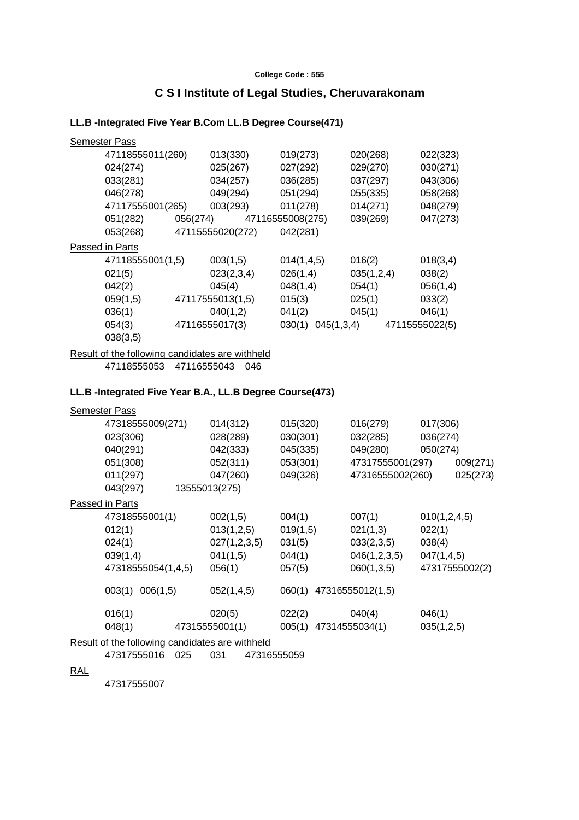#### **College Code : 555**

# **C S I Institute of Legal Studies, Cheruvarakonam**

# **LL.B -Integrated Five Year B.Com LL.B Degree Course(471)**

|            | <b>Semester Pass</b>                                                                             |          |                                                                                    |                                                                                          |                                                                          |                                                                      |
|------------|--------------------------------------------------------------------------------------------------|----------|------------------------------------------------------------------------------------|------------------------------------------------------------------------------------------|--------------------------------------------------------------------------|----------------------------------------------------------------------|
|            | 47118555011(260)<br>024(274)<br>033(281)<br>046(278)<br>47117555001(265)<br>051(282)<br>053(268) | 056(274) | 013(330)<br>025(267)<br>034(257)<br>049(294)<br>003(293)<br>47115555020(272)       | 019(273)<br>027(292)<br>036(285)<br>051(294)<br>011(278)<br>47116555008(275)<br>042(281) | 020(268)<br>029(270)<br>037(297)<br>055(335)<br>014(271)<br>039(269)     | 022(323)<br>030(271)<br>043(306)<br>058(268)<br>048(279)<br>047(273) |
|            | Passed in Parts                                                                                  |          |                                                                                    |                                                                                          |                                                                          |                                                                      |
|            | 47118555001(1,5)<br>021(5)<br>042(2)<br>059(1,5)<br>036(1)<br>054(3)<br>038(3,5)                 |          | 003(1,5)<br>023(2,3,4)<br>045(4)<br>47117555013(1,5)<br>040(1,2)<br>47116555017(3) | 014(1,4,5)<br>026(1,4)<br>048(1,4)<br>015(3)<br>041(2)<br>030(1) 045(1,3,4)              | 016(2)<br>035(1,2,4)<br>054(1)<br>025(1)<br>045(1)                       | 018(3,4)<br>038(2)<br>056(1,4)<br>033(2)<br>046(1)<br>47115555022(5) |
|            | Result of the following candidates are withheld<br>47118555053 47116555043 046                   |          |                                                                                    |                                                                                          |                                                                          |                                                                      |
|            | LL.B -Integrated Five Year B.A., LL.B Degree Course(473)                                         |          |                                                                                    |                                                                                          |                                                                          |                                                                      |
|            | <b>Semester Pass</b>                                                                             |          |                                                                                    |                                                                                          |                                                                          |                                                                      |
|            | 47318555009(271)<br>023(306)<br>040(291)<br>051(308)<br>011(297)<br>043(297)                     |          | 014(312)<br>028(289)<br>042(333)<br>052(311)<br>047(260)<br>13555013(275)          | 015(320)<br>030(301)<br>045(335)<br>053(301)<br>049(326)                                 | 016(279)<br>032(285)<br>049(280)<br>47317555001(297)<br>47316555002(260) | 017(306)<br>036(274)<br>050(274)<br>009(271)<br>025(273)             |
|            | Passed in Parts                                                                                  |          |                                                                                    |                                                                                          |                                                                          |                                                                      |
|            | 47318555001(1)<br>012(1)<br>024(1)<br>039(1,4)<br>47318555054(1,4,5)                             |          | 002(1,5)<br>013(1,2,5)<br>027(1,2,3,5)<br>041(1,5)<br>056(1)                       | 004(1)<br>019(1,5)<br>031(5)<br>044(1)<br>057(5)                                         | 007(1)<br>021(1,3)<br>033(2,3,5)<br>046(1,2,3,5)<br>060(1,3,5)           | 010(1, 2, 4, 5)<br>022(1)<br>038(4)<br>047(1,4,5)<br>47317555002(2)  |
|            | 003(1) 006(1,5)                                                                                  |          | 052(1,4,5)                                                                         | 060(1) 47316555012(1,5)                                                                  |                                                                          |                                                                      |
|            | 016(1)<br>048(1)                                                                                 |          | 020(5)                                                                             | 022(2)                                                                                   | 040(4)                                                                   | 046(1)<br>035(1,2,5)                                                 |
|            | Result of the following candidates are withheld                                                  |          |                                                                                    |                                                                                          |                                                                          |                                                                      |
|            | 47317555016                                                                                      | 025      | 031<br>47316555059                                                                 |                                                                                          |                                                                          |                                                                      |
| <b>RAL</b> | 47317555007                                                                                      |          |                                                                                    |                                                                                          |                                                                          |                                                                      |